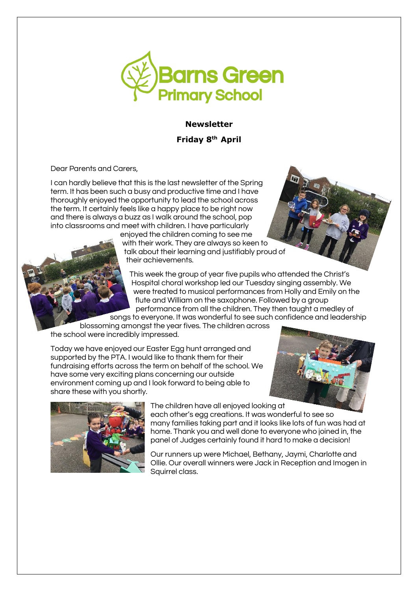

## **Newsletter**

**Friday 8 th April** 

Dear Parents and Carers,

I can hardly believe that this is the last newsletter of the Spring term. It has been such a busy and productive time and I have thoroughly enjoyed the opportunity to lead the school across the term. It certainly feels like a happy place to be right now and there is always a buzz as I walk around the school, pop into classrooms and meet with children. I have particularly

enjoyed the children coming to see me with their work. They are always so keen to talk about their learning and justifiably proud of their achievements.

This week the group of year five pupils who attended the Christ's Hospital choral workshop led our Tuesday singing assembly. We were treated to musical performances from Holly and Emily on the flute and William on the saxophone. Followed by a group performance from all the children. They then taught a medley of songs to everyone. It was wonderful to see such confidence and leadership

blossoming amongst the year fives. The children across the school were incredibly impressed.

Today we have enjoyed our Easter Egg hunt arranged and supported by the PTA. I would like to thank them for their fundraising efforts across the term on behalf of the school. We have some very exciting plans concerning our outside environment coming up and I look forward to being able to share these with you shortly.





The children have all enjoyed looking at

each other's egg creations. It was wonderful to see so many families taking part and it looks like lots of fun was had at home. Thank you and well done to everyone who joined in, the panel of Judges certainly found it hard to make a decision!

Our runners up were Michael, Bethany, Jaymi, Charlotte and Ollie. Our overall winners were Jack in Reception and Imogen in Squirrel class.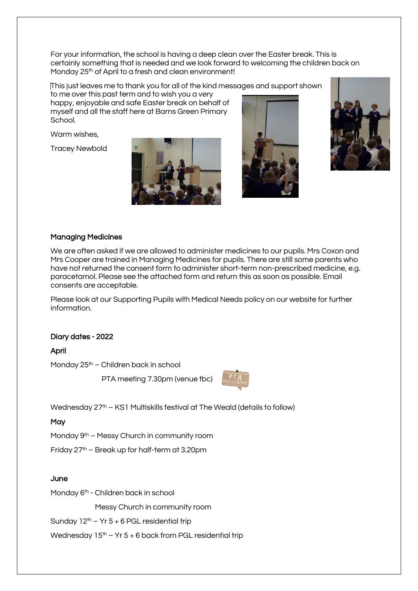For your information, the school is having a deep clean over the Easter break. This is certainly something that is needed and we look forward to welcoming the children back on Monday 25<sup>th</sup> of April to a fresh and clean environment!

This just leaves me to thank you for all of the kind messages and support shown

to me over this past term and to wish you a very happy, enjoyable and safe Easter break on behalf of myself and all the staff here at Barns Green Primary School.

Warm wishes,

Tracey Newbold







## Managing Medicines

We are often asked if we are allowed to administer medicines to our pupils. Mrs Coxon and Mrs Cooper are trained in Managing Medicines for pupils. There are still some parents who have not returned the consent form to administer short-term non-prescribed medicine, e.g. paracetamol. Please see the attached form and return this as soon as possible. Email consents are acceptable.

Please look at our Supporting Pupils with Medical Needs policy on our website for further information.

# Diary dates - 2022

April

Monday 25<sup>th</sup> – Children back in school

PTA meeting 7.30pm (venue tbc)



Wednesday 27<sup>th</sup> – KS1 Multiskills festival at The Weald (details to follow)

**May** 

Monday 9<sup>th</sup> – Messy Church in community room

Friday  $27<sup>th</sup>$  – Break up for half-term at 3.20pm

#### **June**

Monday 6<sup>th</sup> - Children back in school

Messy Church in community room

Sunday  $12<sup>th</sup> - Yr 5 + 6$  PGL residential trip

Wednesday  $15<sup>th</sup> - Yr 5 + 6$  back from PGL residential trip